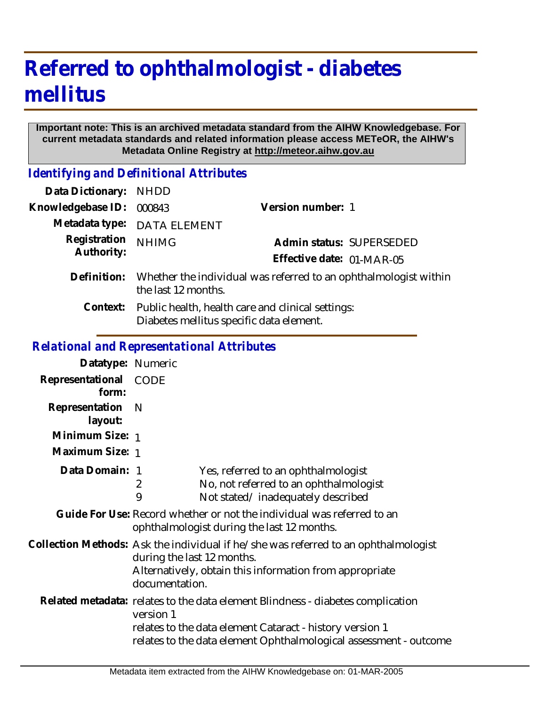# **Referred to ophthalmologist - diabetes mellitus**

#### **Important note: This is an archived metadata standard from the AIHW Knowledgebase. For current metadata standards and related information please access METeOR, the AIHW's Metadata Online Registry at http://meteor.aihw.gov.au**

*Identifying and Definitional Attributes*

| Data Dictionary:           | <b>NHDD</b>                                                                                   |                           |
|----------------------------|-----------------------------------------------------------------------------------------------|---------------------------|
| Knowledgebase ID:          | 000843                                                                                        | Version number: 1         |
| Metadata type:             | <b>DATA ELEMENT</b>                                                                           |                           |
| Registration<br>Authority: | <b>NHIMG</b>                                                                                  | Admin status: SUPERSEDED  |
|                            |                                                                                               | Effective date: 01-MAR-05 |
| Definition:                | Whether the individual was referred to an ophthalmologist within<br>the last 12 months.       |                           |
| Context:                   | Public health, health care and clinical settings:<br>Diabetes mellitus specific data element. |                           |
|                            |                                                                                               |                           |

# *Relational and Representational Attributes*

| Datatype: Numeric         |                                                                                                                                                                                                                               |                                                                                                                    |  |
|---------------------------|-------------------------------------------------------------------------------------------------------------------------------------------------------------------------------------------------------------------------------|--------------------------------------------------------------------------------------------------------------------|--|
| Representational<br>form: | CODE                                                                                                                                                                                                                          |                                                                                                                    |  |
| Representation<br>layout: | <sup>N</sup>                                                                                                                                                                                                                  |                                                                                                                    |  |
| Minimum Size: 1           |                                                                                                                                                                                                                               |                                                                                                                    |  |
| Maximum Size: 1           |                                                                                                                                                                                                                               |                                                                                                                    |  |
| Data Domain: 1            | 2<br>9                                                                                                                                                                                                                        | Yes, referred to an ophthalmologist<br>No, not referred to an ophthalmologist<br>Not stated/inadequately described |  |
|                           | Guide For Use: Record whether or not the individual was referred to an<br>ophthalmologist during the last 12 months.                                                                                                          |                                                                                                                    |  |
|                           | Collection Methods: Ask the individual if he/she was referred to an ophthalmologist<br>during the last 12 months.<br>Alternatively, obtain this information from appropriate<br>documentation.                                |                                                                                                                    |  |
|                           | Related metadata: relates to the data element Blindness - diabetes complication<br>version 1<br>relates to the data element Cataract - history version 1<br>relates to the data element Ophthalmological assessment - outcome |                                                                                                                    |  |